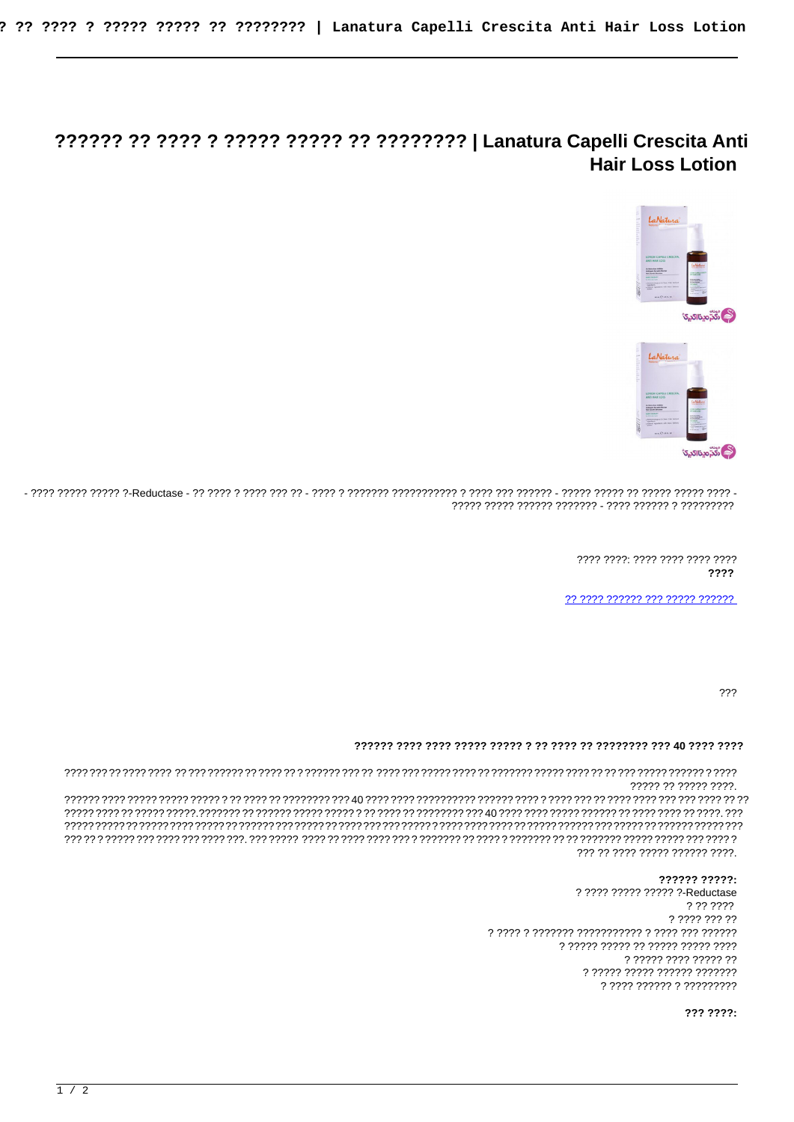## **Hair Loss Lotion**



> ???? ????: ???? ???? ???? ???? ????

?? ???? ?????? ??? ????? ??????

 $222$ 

## 

????? ?? ????? ????.

??? ?? ???? ????? ?????? ????.

## ?????? ?????:

? ???? ????? ????? ?-Reductase ? ?? ???? ? ???? ??? ?? ? ????? ????? ?? ????? ????? ???? n 22222 2222 22222 22 ? ????? ????? ?????? ??????? ? ???? ?????? ? ?????????

??? ????: